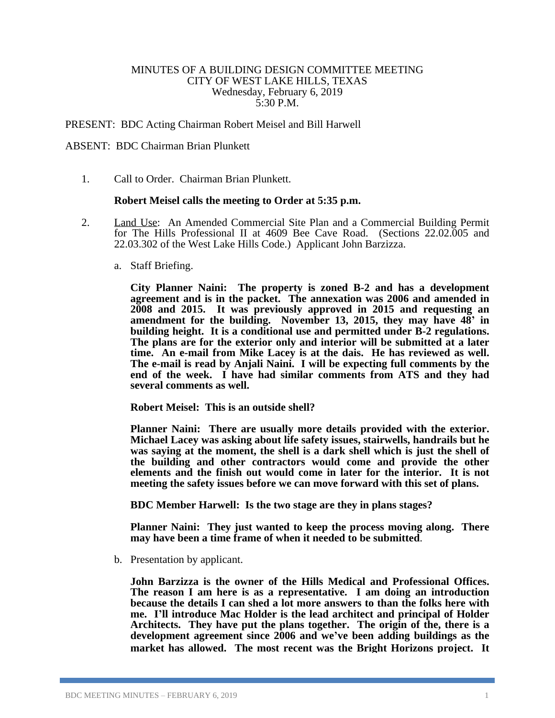## MINUTES OF A BUILDING DESIGN COMMITTEE MEETING CITY OF WEST LAKE HILLS, TEXAS Wednesday, February 6, 2019 5:30 P.M.

## PRESENT: BDC Acting Chairman Robert Meisel and Bill Harwell

## ABSENT: BDC Chairman Brian Plunkett

1. Call to Order. Chairman Brian Plunkett.

## **Robert Meisel calls the meeting to Order at 5:35 p.m.**

- 2. Land Use: An Amended Commercial Site Plan and a Commercial Building Permit for The Hills Professional II at 4609 Bee Cave Road. (Sections 22.02.005 and 22.03.302 of the West Lake Hills Code.) Applicant John Barzizza.
	- a. Staff Briefing.

**City Planner Naini: The property is zoned B-2 and has a development agreement and is in the packet. The annexation was 2006 and amended in 2008 and 2015. It was previously approved in 2015 and requesting an amendment for the building. November 13, 2015, they may have 48' in building height. It is a conditional use and permitted under B-2 regulations. The plans are for the exterior only and interior will be submitted at a later time. An e-mail from Mike Lacey is at the dais. He has reviewed as well. The e-mail is read by Anjali Naini. I will be expecting full comments by the end of the week. I have had similar comments from ATS and they had several comments as well.**

**Robert Meisel: This is an outside shell?**

**Planner Naini: There are usually more details provided with the exterior. Michael Lacey was asking about life safety issues, stairwells, handrails but he was saying at the moment, the shell is a dark shell which is just the shell of the building and other contractors would come and provide the other elements and the finish out would come in later for the interior. It is not meeting the safety issues before we can move forward with this set of plans.**

**BDC Member Harwell: Is the two stage are they in plans stages?**

**Planner Naini: They just wanted to keep the process moving along. There may have been a time frame of when it needed to be submitted**.

b. Presentation by applicant.

**John Barzizza is the owner of the Hills Medical and Professional Offices. The reason I am here is as a representative. I am doing an introduction because the details I can shed a lot more answers to than the folks here with me. I'll introduce Mac Holder is the lead architect and principal of Holder Architects. They have put the plans together. The origin of the, there is a development agreement since 2006 and we've been adding buildings as the market has allowed. The most recent was the Bright Horizons project. It**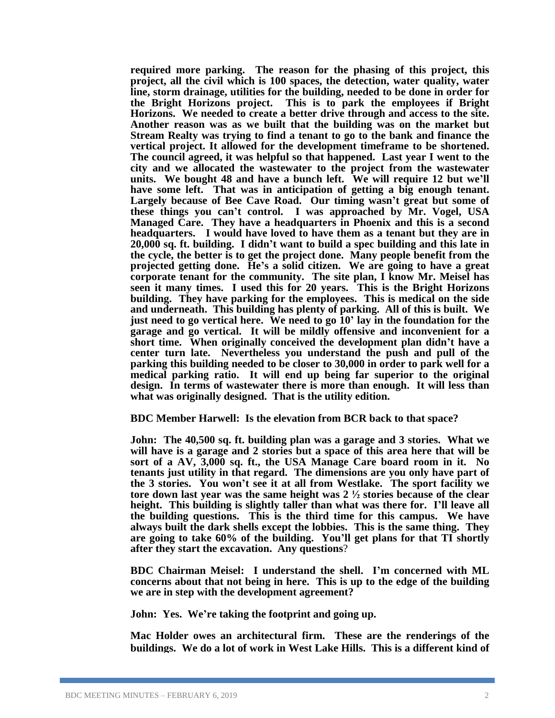**required more parking. The reason for the phasing of this project, this project, all the civil which is 100 spaces, the detection, water quality, water line, storm drainage, utilities for the building, needed to be done in order for the Bright Horizons project. This is to park the employees if Bright Horizons. We needed to create a better drive through and access to the site. Another reason was as we built that the building was on the market but Stream Realty was trying to find a tenant to go to the bank and finance the vertical project. It allowed for the development timeframe to be shortened. The council agreed, it was helpful so that happened. Last year I went to the city and we allocated the wastewater to the project from the wastewater units. We bought 48 and have a bunch left. We will require 12 but we'll have some left. That was in anticipation of getting a big enough tenant. Largely because of Bee Cave Road. Our timing wasn't great but some of these things you can't control. I was approached by Mr. Vogel, USA Managed Care. They have a headquarters in Phoenix and this is a second headquarters. I would have loved to have them as a tenant but they are in 20,000 sq. ft. building. I didn't want to build a spec building and this late in the cycle, the better is to get the project done. Many people benefit from the projected getting done. He's a solid citizen. We are going to have a great corporate tenant for the community. The site plan, I know Mr. Meisel has seen it many times. I used this for 20 years. This is the Bright Horizons building. They have parking for the employees. This is medical on the side and underneath. This building has plenty of parking. All of this is built. We just need to go vertical here. We need to go 10' lay in the foundation for the garage and go vertical. It will be mildly offensive and inconvenient for a short time. When originally conceived the development plan didn't have a center turn late. Nevertheless you understand the push and pull of the parking this building needed to be closer to 30,000 in order to park well for a medical parking ratio. It will end up being far superior to the original design. In terms of wastewater there is more than enough. It will less than what was originally designed. That is the utility edition.** 

**BDC Member Harwell: Is the elevation from BCR back to that space?**

**John: The 40,500 sq. ft. building plan was a garage and 3 stories. What we will have is a garage and 2 stories but a space of this area here that will be sort of a AV, 3,000 sq. ft., the USA Manage Care board room in it. No tenants just utility in that regard. The dimensions are you only have part of the 3 stories. You won't see it at all from Westlake. The sport facility we tore down last year was the same height was 2 ½ stories because of the clear height. This building is slightly taller than what was there for. I'll leave all the building questions. This is the third time for this campus. We have always built the dark shells except the lobbies. This is the same thing. They are going to take 60% of the building. You'll get plans for that TI shortly after they start the excavation. Any questions**?

**BDC Chairman Meisel: I understand the shell. I'm concerned with ML concerns about that not being in here. This is up to the edge of the building we are in step with the development agreement?**

**John: Yes. We're taking the footprint and going up.**

**Mac Holder owes an architectural firm. These are the renderings of the buildings. We do a lot of work in West Lake Hills. This is a different kind of**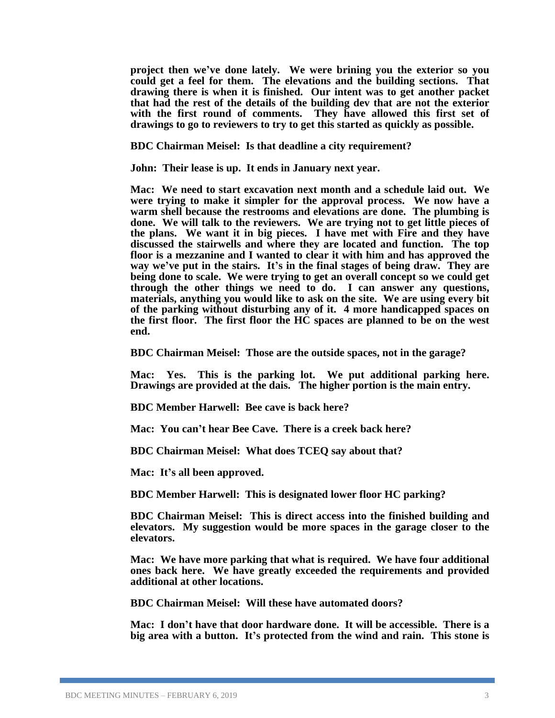**project then we've done lately. We were brining you the exterior so you could get a feel for them. The elevations and the building sections. That drawing there is when it is finished. Our intent was to get another packet that had the rest of the details of the building dev that are not the exterior with the first round of comments. They have allowed this first set of drawings to go to reviewers to try to get this started as quickly as possible.**

**BDC Chairman Meisel: Is that deadline a city requirement?**

**John: Their lease is up. It ends in January next year.**

**Mac: We need to start excavation next month and a schedule laid out. We were trying to make it simpler for the approval process. We now have a warm shell because the restrooms and elevations are done. The plumbing is done. We will talk to the reviewers. We are trying not to get little pieces of the plans. We want it in big pieces. I have met with Fire and they have discussed the stairwells and where they are located and function. The top floor is a mezzanine and I wanted to clear it with him and has approved the way we've put in the stairs. It's in the final stages of being draw. They are being done to scale. We were trying to get an overall concept so we could get through the other things we need to do. I can answer any questions, materials, anything you would like to ask on the site. We are using every bit of the parking without disturbing any of it. 4 more handicapped spaces on the first floor. The first floor the HC spaces are planned to be on the west end.** 

**BDC Chairman Meisel: Those are the outside spaces, not in the garage?**

**Mac: Yes. This is the parking lot. We put additional parking here. Drawings are provided at the dais. The higher portion is the main entry.**

**BDC Member Harwell: Bee cave is back here?**

**Mac: You can't hear Bee Cave. There is a creek back here?**

**BDC Chairman Meisel: What does TCEQ say about that?**

**Mac: It's all been approved.**

**BDC Member Harwell: This is designated lower floor HC parking?**

**BDC Chairman Meisel: This is direct access into the finished building and elevators. My suggestion would be more spaces in the garage closer to the elevators.** 

**Mac: We have more parking that what is required. We have four additional ones back here. We have greatly exceeded the requirements and provided additional at other locations.** 

**BDC Chairman Meisel: Will these have automated doors?**

**Mac: I don't have that door hardware done. It will be accessible. There is a big area with a button. It's protected from the wind and rain. This stone is**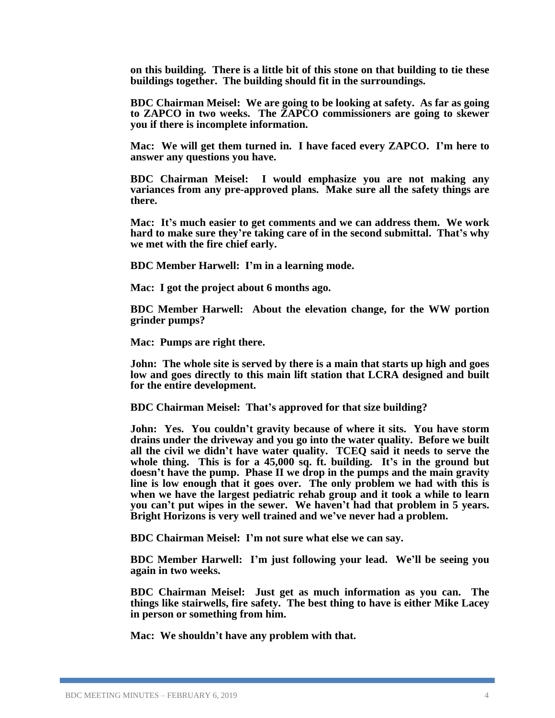**on this building. There is a little bit of this stone on that building to tie these buildings together. The building should fit in the surroundings.**

**BDC Chairman Meisel: We are going to be looking at safety. As far as going to ZAPCO in two weeks. The ZAPCO commissioners are going to skewer you if there is incomplete information.** 

**Mac: We will get them turned in. I have faced every ZAPCO. I'm here to answer any questions you have.**

**BDC Chairman Meisel: I would emphasize you are not making any variances from any pre-approved plans. Make sure all the safety things are there.**

**Mac: It's much easier to get comments and we can address them. We work hard to make sure they're taking care of in the second submittal. That's why we met with the fire chief early.** 

**BDC Member Harwell: I'm in a learning mode.**

**Mac: I got the project about 6 months ago.**

**BDC Member Harwell: About the elevation change, for the WW portion grinder pumps?**

**Mac: Pumps are right there.**

**John: The whole site is served by there is a main that starts up high and goes low and goes directly to this main lift station that LCRA designed and built for the entire development.** 

**BDC Chairman Meisel: That's approved for that size building?**

**John: Yes. You couldn't gravity because of where it sits. You have storm drains under the driveway and you go into the water quality. Before we built all the civil we didn't have water quality. TCEQ said it needs to serve the whole thing. This is for a 45,000 sq. ft. building. It's in the ground but doesn't have the pump. Phase II we drop in the pumps and the main gravity line is low enough that it goes over. The only problem we had with this is when we have the largest pediatric rehab group and it took a while to learn you can't put wipes in the sewer. We haven't had that problem in 5 years. Bright Horizons is very well trained and we've never had a problem.**

**BDC Chairman Meisel: I'm not sure what else we can say.**

**BDC Member Harwell: I'm just following your lead. We'll be seeing you again in two weeks.**

**BDC Chairman Meisel: Just get as much information as you can. The things like stairwells, fire safety. The best thing to have is either Mike Lacey in person or something from him.**

**Mac: We shouldn't have any problem with that.**